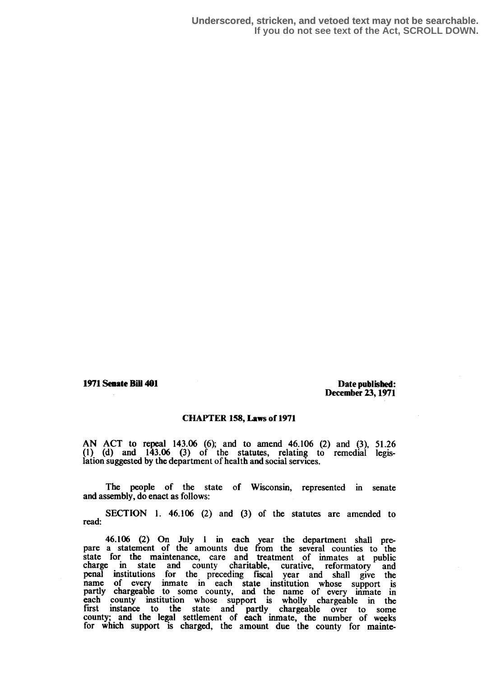1971 Senate Bill 401 and the control of the published: Date published: December 23,1971

## CHAPTER 158, Laws of 1971

AN ACT to repeal 143.06 (6); and to amend 46.106 (2) and (3), 51 .26 (1) (d) and 143.06 (3) of the statutes, relating to remedial legislation suggested by the department of health and social services.

The people of the state of Wisconsin, represented in senate and assembly, do enact as follows:

SECTION 1. 46.106 (2) and (3) of the statutes are amended to read:

46.106 (2) On July 1 in each year the department shall prepare a statement of the amounts due from the several counties to the state for the maintenance, care and treatment of inmates at public charge in state and county charitable, curative, reformatory and penal institutions for the preceding fiscal year and shall give the penal institutions for the preceding fiscal year and shall give the name of every immate in each state institution whose support is partly chargeable to some county, and the name of every inmate in each county institution whose support is wholly chargeable in the first instance to the state and north, there is a county first instance to the state and partly chargeable over to some<br>county, and the lagel settlement of each inmate the number of modium county; and the legal settlement of each inmate, the number of weeks for which support is charged, the amount due the county for mainte-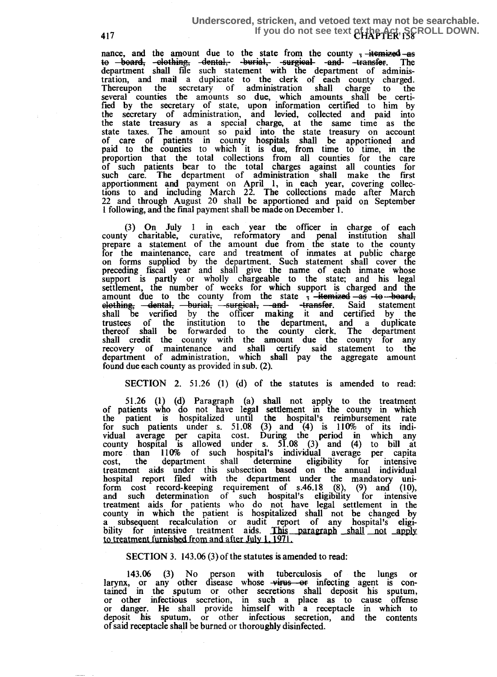## 417 **If you do not see text of the Act, SCROLL DOWN.**<br>And the Magnetic of the Act of the Act of the Act of the Act of the Act of the Act of the Act of the Act of th **Underscored, stricken, and vetoed text may not be searchable.**

nance, and the amount due to the state from the county <del>; itemized as</del><br>to <del>board, -clothing, -dental, -burial, -surgical -and-</del> -transfer. The to board, elothing, dental, burial, surgical and transfer. The department shall file such statement with the department of adminisdepartment shall file such statement with the department of adminis-tration, and mail a duplicate to the clerk of each county charged. Thereupon the secretary of administration shall charge to the several counties the amounts so due, which amounts shall be certified by the secretary of state, upon information certified to him by the secretary of administration, and levied, collected and paid into the state treasury as a special charge, at the same time as the state taxes. The amount so paid into the state treasury on account of care of patients in county hospitals shall be apportioned and paid to the counties to which it is due, from time to tune, in the proportion that the total collections from all counties for the care of such patients bear to the total charges against all counties for such care. The department of administration shall make the first apportionment and payment on April 1, in each year, covering collections to and including March 22. The collections made after March 22 and through August 20 shall be apportioned and paid on September 1 following, and the final payment shall be made on December 1 .

(3) On July 1 in each year the officer in charge of each county charitable, curative, reformatory and penal institution shall for the maintenance, care and treatment of inmates at public charge repare a statement of the amount due from the state to the county on forms supplied by the department. Such statement shall cover the preceding fiscal year and shall give the name of each inmate whose support is partly or wholly chargeable to the state; and his legal settlement, the number of weeks for which support is charged and the amount due to the county from the state  $\frac{1}{2}$  -itemized -as -to-board, elothing, dental, burial, surgical, and transfer. Said statement shall be verified by the officer making it and certified by the shall be verified by the officer making it and certified by the trustees of the institution to the department, and a duplicate thereof shall be forwarded to the county clerk. The department shall credit the county with the amount due the county for any recovery of maintenance and shall certify said statement to the department of administration, which shall pay the aggregate amount found due each county as provided in sub. (2).

## SECTION 2. 51.26 (1) (d) of the statutes is amended to read:

51.26 (1) (d) Paragraph (a) shall not apply to the treatment<br>of patients who do not have legal settlement in the county in which<br>the patient is beenitelized uptil the beginner in the county in which the patient is hospitalized until the hospital's reimbursement rate for such patients under s. 51.08 (3) and (4) is 110% of its individual average per capita cost . During the period in which any county hospital is allowed under s.  $51.08$  (3) and (4) to bill at more than 110% of such hospital's individual average per capita cost, the department shall determine eligibility for intensive treatment aids under this subsection based on the annual individual hospital report filed with the department under the mandatory uniform cost record-keeping requirement of s.46.18  $(8)$ ,  $(9)$  and  $(10)$ , and such determination of such hospital's eligibility for intensive treatment aids for patients who do not have legal settlement in the county in which the patient is hospitalized shall not be changed by a subsequent recalculation or audit report of any hospital's eligibility for intensive treatment aids. <u>This paragraph shall not apply</u><br>to treatment furnished from and after luly 1, 1971 to treatment furnished from and after July 1, 1971.

## SECTION 3. 143.06 (3) of the statutes is amended to read:

143.06 (3) No person with tuberculosis of the lungs or larynx, or any other disease whose vinual of the lungs contained in the sputum or other secretions shall deposit his sputum, or other infectious secretion, in such a place as to cause offense or danger. He shall provide himself with a receptacle in which to deposit his sputum, or other infectious secretion, and the contents of said receptacle shall be burned or thoroughly disinfected.